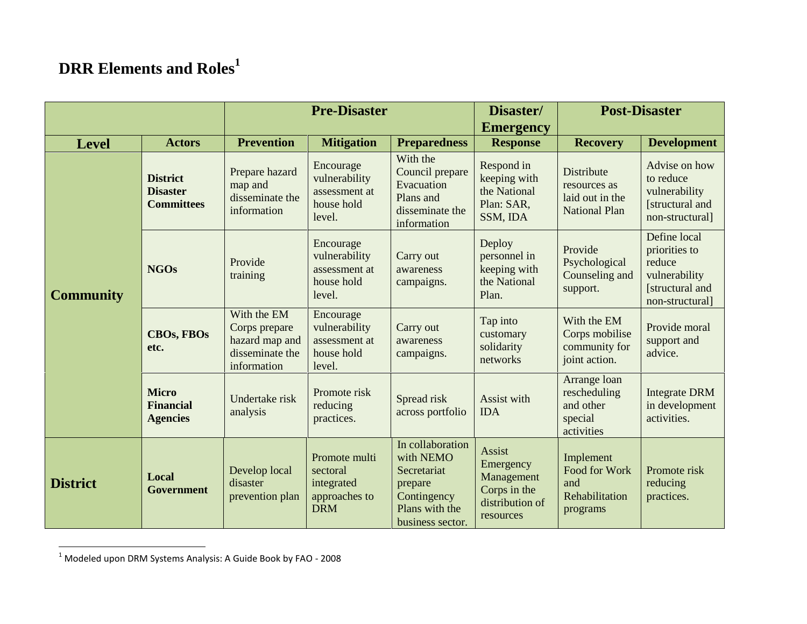## **DRR Elements and Roles<sup>1</sup>**

|                  |                                                         | <b>Pre-Disaster</b>                                                              |                                                                        |                                                                                                              | Disaster/                                                                         | <b>Post-Disaster</b>                                                  |                                                                                                |
|------------------|---------------------------------------------------------|----------------------------------------------------------------------------------|------------------------------------------------------------------------|--------------------------------------------------------------------------------------------------------------|-----------------------------------------------------------------------------------|-----------------------------------------------------------------------|------------------------------------------------------------------------------------------------|
| <b>Level</b>     | <b>Actors</b>                                           | <b>Prevention</b>                                                                | <b>Mitigation</b>                                                      | <b>Preparedness</b>                                                                                          | <b>Emergency</b><br><b>Response</b>                                               | <b>Recovery</b>                                                       | <b>Development</b>                                                                             |
| <b>Community</b> | <b>District</b><br><b>Disaster</b><br><b>Committees</b> | Prepare hazard<br>map and<br>disseminate the<br>information                      | Encourage<br>vulnerability<br>assessment at<br>house hold<br>level.    | With the<br>Council prepare<br>Evacuation<br>Plans and<br>disseminate the<br>information                     | Respond in<br>keeping with<br>the National<br>Plan: SAR,<br>SSM, IDA              | Distribute<br>resources as<br>laid out in the<br><b>National Plan</b> | Advise on how<br>to reduce<br>vulnerability<br>[structural and<br>non-structural]              |
|                  | <b>NGOs</b>                                             | Provide<br>training                                                              | Encourage<br>vulnerability<br>assessment at<br>house hold<br>level.    | Carry out<br>awareness<br>campaigns.                                                                         | Deploy<br>personnel in<br>keeping with<br>the National<br>Plan.                   | Provide<br>Psychological<br>Counseling and<br>support.                | Define local<br>priorities to<br>reduce<br>vulnerability<br>[structural and<br>non-structural] |
|                  | <b>CBOs, FBOs</b><br>etc.                               | With the EM<br>Corps prepare<br>hazard map and<br>disseminate the<br>information | Encourage<br>vulnerability<br>assessment at<br>house hold<br>level.    | Carry out<br>awareness<br>campaigns.                                                                         | Tap into<br>customary<br>solidarity<br>networks                                   | With the EM<br>Corps mobilise<br>community for<br>joint action.       | Provide moral<br>support and<br>advice.                                                        |
|                  | <b>Micro</b><br><b>Financial</b><br><b>Agencies</b>     | Undertake risk<br>analysis                                                       | Promote risk<br>reducing<br>practices.                                 | Spread risk<br>across portfolio                                                                              | Assist with<br><b>IDA</b>                                                         | Arrange loan<br>rescheduling<br>and other<br>special<br>activities    | <b>Integrate DRM</b><br>in development<br>activities.                                          |
| <b>District</b>  | Local<br>Government                                     | Develop local<br>disaster<br>prevention plan                                     | Promote multi<br>sectoral<br>integrated<br>approaches to<br><b>DRM</b> | In collaboration<br>with NEMO<br>Secretariat<br>prepare<br>Contingency<br>Plans with the<br>business sector. | Assist<br>Emergency<br>Management<br>Corps in the<br>distribution of<br>resources | Implement<br>Food for Work<br>and<br>Rehabilitation<br>programs       | Promote risk<br>reducing<br>practices.                                                         |

 $^{-1}$  Modeled upon DRM Systems Analysis: A Guide Book by FAO - 2008